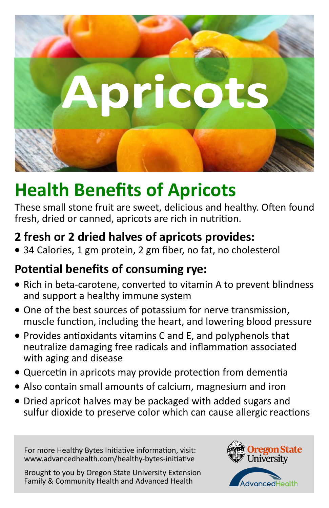For more Healthy Bytes Initiative information, visit: www.advancedhealth.com/healthy-bytes-initiative

Brought to you by Oregon State University Extension Family & Community Health and Advanced Health





# **Health Benefits of Apricots**

These small stone fruit are sweet, delicious and healthy. Often found fresh, dried or canned, apricots are rich in nutrition.

# **2 fresh or 2 dried halves of apricots provides:**

• 34 Calories, 1 gm protein, 2 gm fiber, no fat, no cholesterol

# **Potential benefits of consuming rye:**

- Rich in beta-carotene, converted to vitamin A to prevent blindness and support a healthy immune system
- One of the best sources of potassium for nerve transmission, muscle function, including the heart, and lowering blood pressure
- Provides antioxidants vitamins C and E, and polyphenols that neutralize damaging free radicals and inflammation associated with aging and disease
- Quercetin in apricots may provide protection from dementia
- Also contain small amounts of calcium, magnesium and iron
- Dried apricot halves may be packaged with added sugars and sulfur dioxide to preserve color which can cause allergic reactions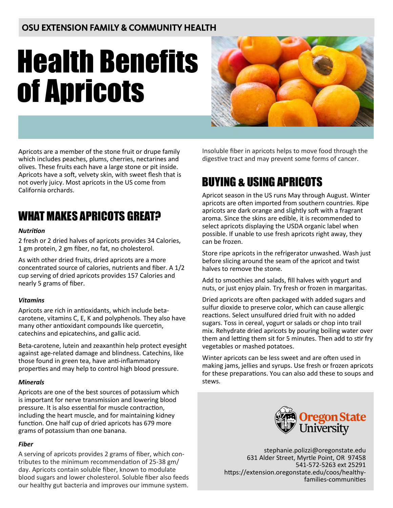### OSU EXTENSION FAMILY & COMMUNITY HEALTH

# Health Benefits of Apricots



Apricots are a member of the stone fruit or drupe family which includes peaches, plums, cherries, nectarines and olives. These fruits each have a large stone or pit inside. Apricots have a soft, velvety skin, with sweet flesh that is not overly juicy. Most apricots in the US come from California orchards.

## WHAT MAKES APRICOTS GREAT?

#### *Nutrition*

2 fresh or 2 dried halves of apricots provides 34 Calories, 1 gm protein, 2 gm fiber, no fat, no cholesterol.

As with other dried fruits, dried apricots are a more concentrated source of calories, nutrients and fiber. A 1/2 cup serving of dried apricots provides 157 Calories and nearly 5 grams of fiber.

#### *Vitamins*

Apricots are rich in antioxidants, which include betacarotene, vitamins C, E, K and polyphenols. They also have many other antioxidant compounds like quercetin, catechins and epicatechins, and gallic acid.

Beta-carotene, lutein and zeaxanthin help protect eyesight against age-related damage and blindness. Catechins, like those found in green tea, have anti-inflammatory properties and may help to control high blood pressure.

#### *Minerals*

Apricots are one of the best sources of potassium which is important for nerve transmission and lowering blood pressure. It is also essential for muscle contraction, including the heart muscle, and for maintaining kidney function. One half cup of dried apricots has 679 more grams of potassium than one banana.

#### *Fiber*

A serving of apricots provides 2 grams of fiber, which contributes to the minimum recommendation of 25-38 gm/ day. Apricots contain soluble fiber, known to modulate blood sugars and lower cholesterol. Soluble fiber also feeds our healthy gut bacteria and improves our immune system.

Insoluble fiber in apricots helps to move food through the digestive tract and may prevent some forms of cancer.

# BUYING & USING APRICOTS

Apricot season in the US runs May through August. Winter apricots are often imported from southern countries. Ripe apricots are dark orange and slightly soft with a fragrant aroma. Since the skins are edible, it is recommended to select apricots displaying the USDA organic label when possible. If unable to use fresh apricots right away, they can be frozen.

Store ripe apricots in the refrigerator unwashed. Wash just before slicing around the seam of the apricot and twist halves to remove the stone.

Add to smoothies and salads, fill halves with yogurt and nuts, or just enjoy plain. Try fresh or frozen in margaritas.

Dried apricots are often packaged with added sugars and sulfur dioxide to preserve color, which can cause allergic reactions. Select unsulfured dried fruit with no added sugars. Toss in cereal, yogurt or salads or chop into trail mix. Rehydrate dried apricots by pouring boiling water over them and letting them sit for 5 minutes. Then add to stir fry vegetables or mashed potatoes.

Winter apricots can be less sweet and are often used in making jams, jellies and syrups. Use fresh or frozen apricots for these preparations. You can also add these to soups and stews.



stephanie.polizzi@oregonstate.edu 631 Alder Street, Myrtle Point, OR 97458 541-572-5263 ext 25291 https://extension.oregonstate.edu/coos/healthyfamilies-communities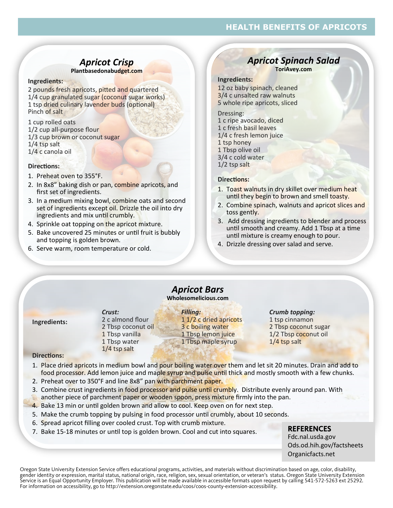#### **HEALTH BENEFITS OF APRICOTS**

### *Apricot Crisp*

#### **Plantbasedonabudget.com**

#### **Ingredients:**

2 pounds fresh apricots, pitted and quartered 1/4 cup granulated sugar (coconut sugar works) 1 tsp dried culinary lavender buds (optional) Pinch of salt

1 cup rolled oats 1/2 cup all-purpose flour 1/3 cup brown or coconut sugar 1/4 tsp salt 1/4 c canola oil

#### **Directions:**

- 1. Preheat oven to 355°F.
- 2. In 8x8" baking dish or pan, combine apricots, and first set of ingredients.
- 3. In a medium mixing bowl, combine oats and second set of ingredients except oil. Drizzle the oil into dry ingredients and mix until crumbly.
- 4. Sprinkle oat topping on the apricot mixture.
- 5. Bake uncovered 25 minutes or until fruit is bubbly and topping is golden brown.
- 6. Serve warm, room temperature or cold.

#### *Apricot Spinach Salad* **ToriAvey.com**

#### **Ingredients:**

12 oz baby spinach, cleaned 3/4 c unsalted raw walnuts 5 whole ripe apricots, sliced

Dressing: 1 c ripe avocado, diced 1 c fresh basil leaves 1/4 c fresh lemon juice 1 tsp honey 1 Tbsp olive oil 3/4 c cold water 1/2 tsp salt

#### **Directions:**

- 1. Toast walnuts in dry skillet over medium heat until they begin to brown and smell toasty.
- 2. Combine spinach, walnuts and apricot slices and toss gently.
- 3. Add dressing ingredients to blender and process until smooth and creamy. Add 1 Tbsp at a time until mixture is creamy enough to pour.
- 4. Drizzle dressing over salad and serve.

#### *Apricot Bars* **Wholesomelicious.com**

| Ingredients: |  |
|--------------|--|
|              |  |

#### *Crust:* 2 c almond flour 2 Tbsp coconut oil 1 Tbsp vanilla 1 Tbsp water 1/4 tsp salt

*Filling:* 1 1/2 c dried apricots 3 c boiling water 1 Tbsp lemon juice 1 Tbsp maple syrup

#### *Crumb topping:* 1 tsp cinnamon 2 Tbsp coconut sugar 1/2 Tbsp coconut oil

1/4 tsp salt

#### **Directions:**

- 1. Place dried apricots in medium bowl and pour boiling water over them and let sit 20 minutes. Drain and add to food processor. Add lemon juice and maple syrup and pulse until thick and mostly smooth with a few chunks.
- 2. Preheat over to 350°F and line 8x8" pan with parchment paper.
- 3. Combine crust ingredients in food processor and pulse until crumbly. Distribute evenly around pan. With another piece of parchment paper or wooden spoon, press mixture firmly into the pan.
- 4. Bake 13 min or until golden brown and allow to cool. Keep oven on for next step.
- 5. Make the crumb topping by pulsing in food processor until crumbly, about 10 seconds.
- 6. Spread apricot filling over cooled crust. Top with crumb mixture.
- 7. Bake 15-18 minutes or until top is golden brown. Cool and cut into squares.

#### **REFERENCES**

Fdc.nal.usda.gov Ods.od.hih.gov/factsheets Organicfacts.net

Oregon State University Extension Service offers educational programs, activities, and materials without discrimination based on age, color, disability, gender identity or expression, marital status, national origin, race, religion, sex, sexual orientation, or veteran's status. Oregon State University Extension Service is an Equal Opportunity Employer. This publication will be made available in accessible formats upon request by calling 541-572-5263 ext 25292. For information on accessibility, go to http://extension.oregonstate.edu/coos/coos-county-extension-accessibility.